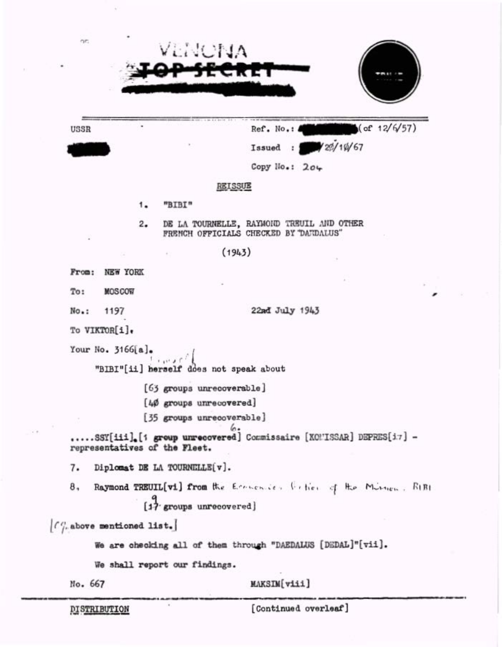| ne.                 |                             | VENCNA                                            |                                                                                     |
|---------------------|-----------------------------|---------------------------------------------------|-------------------------------------------------------------------------------------|
|                     |                             |                                                   | ᄄᅚᅚ                                                                                 |
|                     |                             |                                                   |                                                                                     |
| USSR                |                             |                                                   | of 12/6/57<br>Ref. No.:                                                             |
|                     |                             |                                                   | 420/10/67<br>Issued :                                                               |
|                     |                             |                                                   | Copy $No.: 204$                                                                     |
|                     |                             |                                                   | <b>REISSUE</b>                                                                      |
|                     | 1.                          | "BIBI"                                            |                                                                                     |
|                     | 2.                          |                                                   | DE LA TOURNELLE, RAYMOND TREUIL AND OTHER<br>FRENCH OFFICIALS CHECKED BY "DANDALUS" |
|                     |                             | 新加工                                               | (1943)                                                                              |
| From:               | <b>NEW YORK</b>             |                                                   |                                                                                     |
| To:                 | <b>MOSCOW</b>               |                                                   |                                                                                     |
| No.:                | 1197                        |                                                   | 22md July 1943                                                                      |
| To VIKTOR[i].       |                             |                                                   |                                                                                     |
|                     | Your No. 3166[a].           | 1.0000<br>"BIBI"[ii] herself does not speak about |                                                                                     |
|                     |                             | [63 groups unrecoverable]                         |                                                                                     |
|                     |                             | [40 groups unrecovered]                           |                                                                                     |
|                     |                             | [35 groups unrecoverable]                         |                                                                                     |
|                     |                             | representatives of the Fleet.                     | 6.<br>SSY[iii].[1 group unrecovered] Commissaire [KOMISSAR] DEPRES[i7] -            |
| 7.                  |                             | Diplomat DE LA TOURNELLE[v].                      |                                                                                     |
| 8,                  |                             | [17 groups unrecovered]                           | Raymond TREUIL[vi] from the Economics Ceties of the Mission. RIBI                   |
|                     | $[0]$ above mentioned list. |                                                   |                                                                                     |
|                     |                             |                                                   | We are checking all of them through "DAEDALUS [DEDAL]"[vii].                        |
|                     |                             | We shall report our findings.                     |                                                                                     |
| No. 667             |                             |                                                   | MAKSIM[viii]                                                                        |
| <b>DISTRIBUTION</b> |                             |                                                   | [Continued overleaf]                                                                |

 $\widetilde{\chi}^{\prime}$ 

 $\bar{E}$ 

 $\sim$   $\sigma$